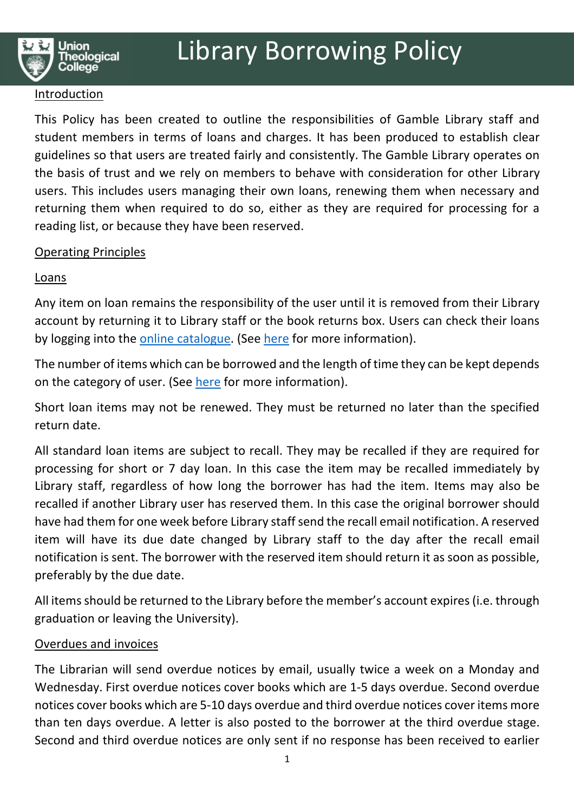### Introduction

This Policy has been created to outline the responsibilities of Gamble Library staff and student members in terms of loans and charges. It has been produced to establish clear guidelines so that users are treated fairly and consistently. The Gamble Library operates on the basis of trust and we rely on members to behave with consideration for other Library users. This includes users managing their own loans, renewing them when necessary and returning them when required to do so, either as they are required for processing for a reading list, or because they have been reserved.

## Operating Principles

# **Loans**

Any item on loan remains the responsibility of the user until it is removed from their Library account by returning it to Library staff or the book returns box. Users can check their loans by logging into the online catalogue. (See here for more information).

The number of items which can be borrowed and the length of time they can be kept depends on the category of user. (See here for more information).

Short loan items may not be renewed. They must be returned no later than the specified return date.

All standard loan items are subject to recall. They may be recalled if they are required for processing for short or 7 day loan. In this case the item may be recalled immediately by Library staff, regardless of how long the borrower has had the item. Items may also be recalled if another Library user has reserved them. In this case the original borrower should have had them for one week before Library staff send the recall email notification. A reserved item will have its due date changed by Library staff to the day after the recall email notification is sent. The borrower with the reserved item should return it as soon as possible, preferably by the due date.

All items should be returned to the Library before the member's account expires (i.e. through graduation or leaving the University).

## Overdues and invoices

The Librarian will send overdue notices by email, usually twice a week on a Monday and Wednesday. First overdue notices cover books which are 1-5 days overdue. Second overdue notices cover books which are 5-10 days overdue and third overdue notices cover items more than ten days overdue. A letter is also posted to the borrower at the third overdue stage. Second and third overdue notices are only sent if no response has been received to earlier